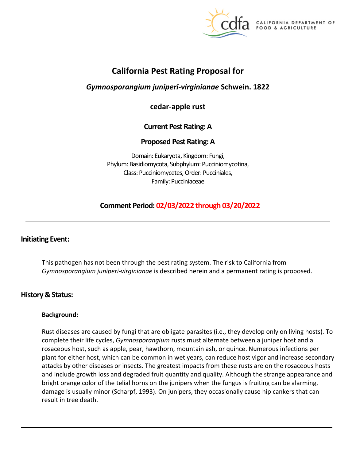

**CALIFORNIA DEPARTMENT OF** FOOD & AGRICULTURE

# **California Pest Rating Proposal for**

## *Gymnosporangium juniperi-virginianae* **Schwein. 1822**

**cedar-apple rust** 

## **Current Pest Rating: A**

## **Proposed Pest Rating: A**

Domain: Eukaryota, Kingdom: Fungi, Phylum: Basidiomycota, Subphylum: Pucciniomycotina, Class: Pucciniomycetes, Order: Pucciniales, Family: Pucciniaceae

## **Comment Period: 02/03/2022 through 03/20/2022**

## **Initiating Event:**

This pathogen has not been through the pest rating system. The risk to California from *Gymnosporangium juniperi-virginianae* is described herein and a permanent rating is proposed.

## **History & Status:**

#### **Background:**

Rust diseases are caused by fungi that are obligate parasites (i.e., they develop only on living hosts). To complete their life cycles, *Gymnosporangium* rusts must alternate between a juniper host and a rosaceous host, such as apple, pear, hawthorn, mountain ash, or quince. Numerous infections per plant for either host, which can be common in wet years, can reduce host vigor and increase secondary attacks by other diseases or insects. The greatest impacts from these rusts are on the rosaceous hosts and include growth loss and degraded fruit quantity and quality. Although the strange appearance and bright orange color of the telial horns on the junipers when the fungus is fruiting can be alarming, damage is usually minor (Scharpf, 1993). On junipers, they occasionally cause hip cankers that can result in tree death.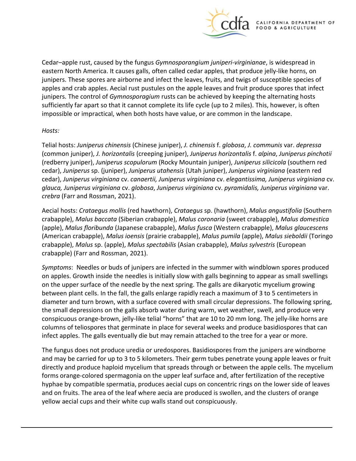

Cedar–apple rust, caused by the fungus *Gymnosporangium juniperi-virginianae*, is widespread in eastern North America. It causes galls, often called cedar apples, that produce jelly-like horns, on junipers. These spores are airborne and infect the leaves, fruits, and twigs of susceptible species of apples and crab apples. Aecial rust pustules on the apple leaves and fruit produce spores that infect junipers. The control of *Gymnosporagium* rusts can be achieved by keeping the alternating hosts sufficiently far apart so that it cannot complete its life cycle (up to 2 miles). This, however, is often impossible or impractical, when both hosts have value, or are common in the landscape.

#### *Hosts:*

Telial hosts: *Juniperus chinensis* (Chinese juniper), *J. chinensis* f. *globosa*, *J. communis* var. *depressa*  (common juniper), *J. horizontalis* (creeping juniper), *Juniperus horizontalis* f. *alpina*, *Juniperus pinchotii*  (redberry juniper), *Juniperus scopulorum* (Rocky Mountain juniper), *Juniperus silicicola* (southern red cedar), *Juniperus* sp. (juniper), *Juniperus utahensis* (Utah juniper), *Juniperus virginiana* (eastern red cedar), *Juniperus virginiana* cv. *canaertii, Juniperus virginiana* cv. *elegantissima, Juniperus virginiana* cv. *glauca, Juniperus virginiana* cv. *globosa*, *Juniperus virginiana* cv. *pyramidalis, Juniperus virginiana* var. *crebra* (Farr and Rossman, 2021).

Aecial hosts: *Crataegus mollis* (red hawthorn), *Crataegus* sp. (hawthorn), *Malus angustifolia* (Southern crabapple), *Malus baccata* (Siberian crabapple), *Malus coronaria* (sweet crabapple), *Malus domestica*  (apple), *Malus floribunda* (Japanese crabapple), *Malus fusca* (Western crabapple), *Malus glaucescens*  (American crabapple), *Malus ioensis* (prairie crabapple), *Malus pumila* (apple), *Malus sieboldii* (Toringo crabapple), *Malus* sp. (apple), *Malus spectabilis* (Asian crabapple), *Malus sylvestris* (European crabapple) (Farr and Rossman, 2021).

*Symptoms*: Needles or buds of junipers are infected in the summer with windblown spores produced on apples. Growth inside the needles is initially slow with galls beginning to appear as small swellings on the upper surface of the needle by the next spring. The galls are dikaryotic mycelium growing between plant cells. In the fall, the galls enlarge rapidly reach a maximum of 3 to 5 centimeters in diameter and turn brown, with a surface covered with small circular depressions. The following spring, the small depressions on the galls absorb water during warm, wet weather, swell, and produce very conspicuous orange-brown, jelly-like telial "horns" that are 10 to 20 mm long. The jelly-like horns are columns of teliospores that germinate in place for several weeks and produce basidiospores that can infect apples. The galls eventually die but may remain attached to the tree for a year or more.

The fungus does not produce uredia or uredospores. Basidiospores from the junipers are windborne and may be carried for up to 3 to 5 kilometers. Their germ tubes penetrate young apple leaves or fruit directly and produce haploid mycelium that spreads through or between the apple cells. The mycelium forms orange-colored spermagonia on the upper leaf surface and, after fertilization of the receptive hyphae by compatible spermatia, produces aecial cups on concentric rings on the lower side of leaves and on fruits. The area of the leaf where aecia are produced is swollen, and the clusters of orange yellow aecial cups and their white cup walls stand out conspicuously.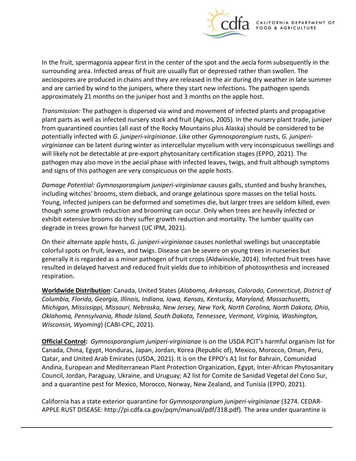

In the fruit, spermagonia appear first in the center of the spot and the aecia form subsequently in the surrounding area. Infected areas of fruit are usually flat or depressed rather than swollen. The aeciospores are produced in chains and they are released in the air during dry weather in late summer and are carried by wind to the junipers, where they start new infections. The pathogen spends approximately 21 months on the juniper host and 3 months on the apple host.

*Transmission:* The pathogen is dispersed via wind and movement of infected plants and propagative plant parts as well as infected nursery stock and fruit (Agrios, 2005). In the nursery plant trade, juniper from quarantined counties (all east of the Rocky Mountains plus Alaska) should be considered to be potentially infected with *G. juniperi-virginianae*. Like other *Gymnosporangium* rusts, *G. juniperivirginianae* can be latent during winter as intercellular mycelium with very inconspicuous swellings and will likely not be detectable at pre-export phytosanitary certification stages (EPPO, 2021). The pathogen may also move in the aecial phase with infected leaves, twigs, and fruit although symptoms and signs of this pathogen are very conspicuous on the apple hosts.

*Damage Potential: Gymnosporangium juniperi-virginianae* causes galls, stunted and bushy branches, including witches' brooms, stem dieback, and orange gelatinous spore masses on the telial hosts. Young, infected junipers can be deformed and sometimes die, but larger trees are seldom killed, even though some growth reduction and brooming can occur. Only when trees are heavily infected or exhibit extensive brooms do they suffer growth reduction and mortality. The lumber quality can degrade in trees grown for harvest (UC IPM, 2021).

On their alternate apple hosts, *G. juniperi-virginianae* causes nonlethal swellings but unacceptable colorful spots on fruit, leaves, and twigs. Disease can be severe on young trees in nurseries but generally it is regarded as a minor pathogen of fruit crops (Aldwinckle, 2014). Infected fruit trees have resulted in delayed harvest and reduced fruit yields due to inhibition of photosynthesis and increased respiration.

**Worldwide Distribution**: Canada, United States (*Alabama, Arkansas, Colorado, Connecticut, District of Columbia, Florida, Georgia, Illinois, Indiana, Iowa, Kansas, Kentucky, Maryland, Massachusetts, Michigan, Mississippi, Missouri, Nebraska, New Jersey, New York, North Carolina, North Dakota, Ohio, Oklahoma, Pennsylvania, Rhode Island, South Dakota, Tennessee, Vermont, Virginia, Washington, Wisconsin, Wyoming*) (CABI-CPC, 2021).

**Official Control:** *Gymnosporangium juniperi-virginianae* is on the USDA PCIT's harmful organism list for Canada, China, Egypt, Honduras, Japan, Jordan, Korea (Republic of), Mexico, Morocco, Oman, Peru, Qatar, and United Arab Emirates (USDA, 2021). It is on the EPPO's A1 list for Bahrain, Comunidad Andina, European and Mediterranean Plant Protection Organization, Egypt, Inter-African Phytosanitary Council, Jordan, Paraguay, Ukraine, and Uruguay; A2 list for Comite de Sanidad Vegetal del Cono Sur, and a quarantine pest for Mexico, Morocco, Norway, New Zealand, and Tunisia (EPPO, 2021).

California has a state exterior quarantine for *Gymnosporangium juniperi-virginianae* (3274. CEDAR-APPLE RUST DISEASE: [http://pi.cdfa.ca.gov/pqm/manual/pdf/318.pdf\)](http://pi.cdfa.ca.gov/pqm/manual/pdf/318.pdf)*.* The area under quarantine is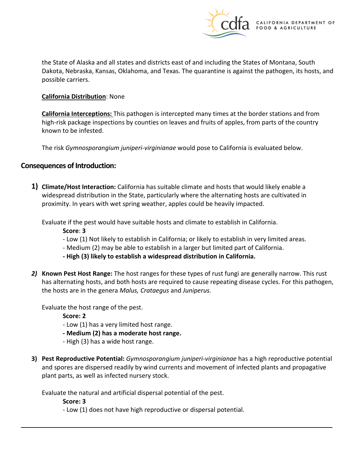

the State of Alaska and all states and districts east of and including the States of Montana, South Dakota, Nebraska, Kansas, Oklahoma, and Texas. The quarantine is against the pathogen, its hosts, and possible carriers.

#### **California Distribution**: None

**California Interceptions:** This pathogen is intercepted many times at the border stations and from high-risk package inspections by counties on leaves and fruits of apples, from parts of the country known to be infested.

The risk *Gymnosporangium juniperi-virginianae* would pose to California is evaluated below.

### **Consequences of Introduction:**

**1) Climate/Host Interaction:** California has suitable climate and hosts that would likely enable a widespread distribution in the State, particularly where the alternating hosts are cultivated in proximity. In years with wet spring weather, apples could be heavily impacted.

Evaluate if the pest would have suitable hosts and climate to establish in California.

- **Score**: **3**
- Low (1) Not likely to establish in California; or likely to establish in very limited areas.
- Medium (2) may be able to establish in a larger but limited part of California.
- **- High (3) likely to establish a widespread distribution in California.**
- *2)* **Known Pest Host Range:** The host ranges for these types of rust fungi are generally narrow. This rust has alternating hosts, and both hosts are required to cause repeating disease cycles. For this pathogen, the hosts are in the genera *Malus, Crataegus* and *Juniperus.*

Evaluate the host range of the pest.

**Score: 2** 

- Low (1) has a very limited host range.
- **- Medium (2) has a moderate host range.**
- High (3) has a wide host range.
- **3) Pest Reproductive Potential:** *Gymnosporangium juniperi-virginianae* has a high reproductive potential and spores are dispersed readily by wind currents and movement of infected plants and propagative plant parts, as well as infected nursery stock.

Evaluate the natural and artificial dispersal potential of the pest.

**Score: 3** 

- Low (1) does not have high reproductive or dispersal potential.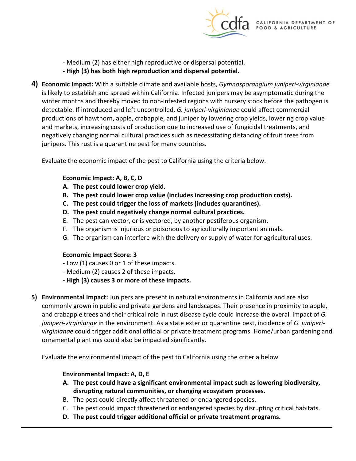

- Medium (2) has either high reproductive or dispersal potential.
- **- High (3) has both high reproduction and dispersal potential.**
- **4) Economic Impact:** With a suitable climate and available hosts, *Gymnosporangium juniperi-virginianae*  is likely to establish and spread within California. Infected junipers may be asymptomatic during the winter months and thereby moved to non-infested regions with nursery stock before the pathogen is detectable. If introduced and left uncontrolled, *G. juniperi-virginianae* could affect commercial productions of hawthorn, apple, crabapple, and juniper by lowering crop yields, lowering crop value and markets, increasing costs of production due to increased use of fungicidal treatments, and negatively changing normal cultural practices such as necessitating distancing of fruit trees from junipers. This rust is a quarantine pest for many countries.

Evaluate the economic impact of the pest to California using the criteria below.

### **Economic Impact: A, B, C, D**

- **A. The pest could lower crop yield.**
- **B. The pest could lower crop value (includes increasing crop production costs).**
- **C. The pest could trigger the loss of markets (includes quarantines).**
- **D. The pest could negatively change normal cultural practices.**
- E. The pest can vector, or is vectored, by another pestiferous organism.
- F. The organism is injurious or poisonous to agriculturally important animals.
- G. The organism can interfere with the delivery or supply of water for agricultural uses.

#### **Economic Impact Score**: **3**

- Low (1) causes 0 or 1 of these impacts.
- Medium (2) causes 2 of these impacts.
- **- High (3) causes 3 or more of these impacts.**
- **5) Environmental Impact:** Junipers are present in natural environments in California and are also commonly grown in public and private gardens and landscapes. Their presence in proximity to apple, and crabapple trees and their critical role in rust disease cycle could increase the overall impact of *G. juniperi-virginianae* in the environment. As a state exterior quarantine pest, incidence of *G. juniperivirginianae* could trigger additional official or private treatment programs. Home/urban gardening and ornamental plantings could also be impacted significantly.

Evaluate the environmental impact of the pest to California using the criteria below

## **Environmental Impact: A, D, E**

- **A. The pest could have a significant environmental impact such as lowering biodiversity, disrupting natural communities, or changing ecosystem processes.**
- B. The pest could directly affect threatened or endangered species.
- C. The pest could impact threatened or endangered species by disrupting critical habitats.
- **D. The pest could trigger additional official or private treatment programs.**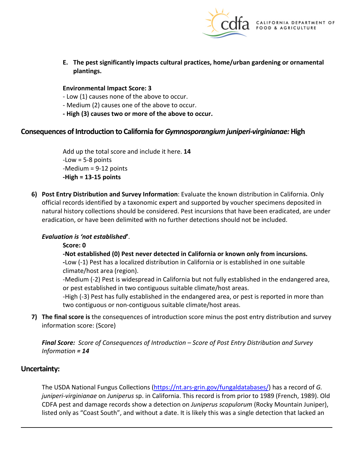

**E. The pest significantly impacts cultural practices, home/urban gardening or ornamental plantings.** 

#### **Environmental Impact Score: 3**

- Low (1) causes none of the above to occur.
- Medium (2) causes one of the above to occur.
- **- High (3) causes two or more of the above to occur.**

#### **Consequences of Introduction to California for** *Gymnosporangium juniperi-virginianae:* **High**

Add up the total score and include it here. **14**  -Low = 5-8 points -Medium = 9-12 points **-High = 13-15 points** 

**6) Post Entry Distribution and Survey Information**: Evaluate the known distribution in California. Only official records identified by a taxonomic expert and supported by voucher specimens deposited in natural history collections should be considered. Pest incursions that have been eradicated, are under eradication, or have been delimited with no further detections should not be included.

#### *Evaluation is 'not established***'**.

#### **Score: 0**

**-Not established (0) Pest never detected in California or known only from incursions.** 

**-**Low (-1) Pest has a localized distribution in California or is established in one suitable climate/host area (region).

-Medium (-2) Pest is widespread in California but not fully established in the endangered area, or pest established in two contiguous suitable climate/host areas.

-High (-3) Pest has fully established in the endangered area, or pest is reported in more than two contiguous or non-contiguous suitable climate/host areas.

**7) The final score is** the consequences of introduction score minus the post entry distribution and survey information score: (Score)

*Final Score: Score of Consequences of Introduction – Score of Post Entry Distribution and Survey Information = 14* 

#### **Uncertainty:**

The USDA National Fungus Collections [\(https://nt.ars-grin.gov/fungaldatabases/\)](https://nt.ars-grin.gov/fungaldatabases/) has a record of *G. juniperi-virginianae* on *Juniperus* sp. in California. This record is from prior to 1989 (French, 1989). Old CDFA pest and damage records show a detection on *Juniperus scopulorum* (Rocky Mountain Juniper), listed only as "Coast South", and without a date. It is likely this was a single detection that lacked an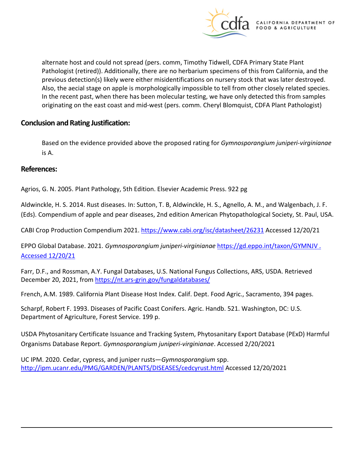

alternate host and could not spread (pers. comm, Timothy Tidwell, CDFA Primary State Plant Pathologist (retired)). Additionally, there are no herbarium specimens of this from California, and the previous detection(s) likely were either misidentifications on nursery stock that was later destroyed. Also, the aecial stage on apple is morphologically impossible to tell from other closely related species. In the recent past, when there has been molecular testing, we have only detected this from samples originating on the east coast and mid-west (pers. comm. Cheryl Blomquist, CDFA Plant Pathologist)

### **Conclusion and Rating Justification:**

Based on the evidence provided above the proposed rating for *Gymnosporangium juniperi-virginianae*  is A.

#### **References:**

Agrios, G. N. 2005. Plant Pathology, 5th Edition. Elsevier Academic Press. 922 pg

Aldwinckle, H. S. 2014. Rust diseases. In: Sutton, T. B, Aldwinckle, H. S., Agnello, A. M., and Walgenbach, J. F. (Eds). Compendium of apple and pear diseases, 2nd edition American Phytopathological Society, St. Paul, USA.

CABI Crop Production Compendium 2021[. https://www.cabi.org/isc/datasheet/26231](https://www.cabi.org/isc/datasheet/26231) Accessed 12/20/21

EPPO Global Database. 2021. *Gymnosporangium juniperi-virginianae* [https://gd.eppo.int/taxon/GYMNJV .](https://gd.eppo.int/taxon/GYMNJV%20.%20Accessed%2012/20/21)  [Accessed 12/20/21](https://gd.eppo.int/taxon/GYMNJV%20.%20Accessed%2012/20/21) 

Farr, D.F., and Rossman, A.Y. Fungal Databases, U.S. National Fungus Collections, ARS, USDA. Retrieved December 20, 2021, from<https://nt.ars-grin.gov/fungaldatabases/>

French, A.M. 1989. California Plant Disease Host Index. Calif. Dept. Food Agric., Sacramento, 394 pages.

Scharpf, Robert F. 1993. Diseases of Pacific Coast Conifers. Agric. Handb. 521. Washington, DC: U.S. Department of Agriculture, Forest Service. 199 p.

USDA Phytosanitary Certificate Issuance and Tracking System, Phytosanitary Export Database (PExD) Harmful Organisms Database Report. *Gymnosporangium juniperi-virginianae*. Accessed 2/20/2021

UC IPM. 2020. Cedar, cypress, and juniper rusts—*Gymnosporangium* spp. <http://ipm.ucanr.edu/PMG/GARDEN/PLANTS/DISEASES/cedcyrust.html>Accessed 12/20/2021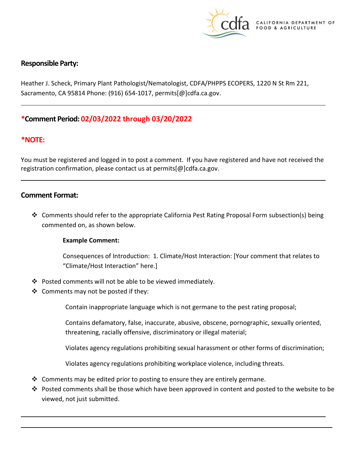

## **Responsible Party:**

Heather J. Scheck, Primary Plant Pathologist/Nematologist, CDFA/PHPPS ECOPERS, 1220 N St Rm 221, Sacramento, CA 95814 Phone: (916) 654-1017, [permits\[@\]cdfa.ca.gov](https://permits[@]cdfa.ca.gov).

## **\*Comment Period: 02/03/2022 through 03/20/2022**

### **\*NOTE:**

You must be registered and logged in to post a comment. If you have registered and have not received the registration confirmation, please contact us at [permits\[@\]cdfa.ca.gov](https://permits[@]cdfa.ca.gov).

#### **Comment Format:**

 $\div$  Comments should refer to the appropriate California Pest Rating Proposal Form subsection(s) being commented on, as shown below.

#### **Example Comment:**

Consequences of Introduction: 1. Climate/Host Interaction: [Your comment that relates to "Climate/Host Interaction" here.]

- Posted comments will not be able to be viewed immediately.
- $\triangleleft$  Comments may not be posted if they:

Contain inappropriate language which is not germane to the pest rating proposal;

Contains defamatory, false, inaccurate, abusive, obscene, pornographic, sexually oriented, threatening, racially offensive, discriminatory or illegal material;

Violates agency regulations prohibiting sexual harassment or other forms of discrimination;

Violates agency regulations prohibiting workplace violence, including threats.

- $\clubsuit$  Comments may be edited prior to posting to ensure they are entirely germane.
- Posted comments shall be those which have been approved in content and posted to the website to be viewed, not just submitted.